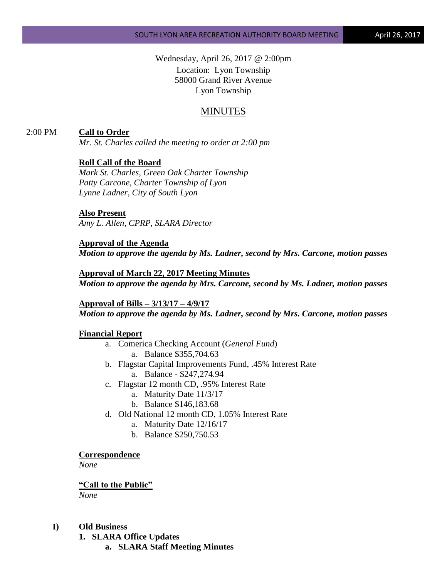Wednesday, April 26, 2017 @ 2:00pm Location: Lyon Township 58000 Grand River Avenue Lyon Township

# MINUTES

### 2:00 PM **Call to Order**

*Mr. St. Charles called the meeting to order at 2:00 pm*

### **Roll Call of the Board**

*Mark St. Charles, Green Oak Charter Township Patty Carcone, Charter Township of Lyon Lynne Ladner, City of South Lyon* 

### **Also Present**

*Amy L. Allen, CPRP, SLARA Director*

**Approval of the Agenda** *Motion to approve the agenda by Ms. Ladner, second by Mrs. Carcone, motion passes*

#### **Approval of March 22, 2017 Meeting Minutes**

*Motion to approve the agenda by Mrs. Carcone, second by Ms. Ladner, motion passes*

**Approval of Bills – 3/13/17 – 4/9/17** *Motion to approve the agenda by Ms. Ladner, second by Mrs. Carcone, motion passes*

### **Financial Report**

- a. Comerica Checking Account (*General Fund*) a. Balance \$355,704.63
- b. Flagstar Capital Improvements Fund, .45% Interest Rate a. Balance - \$247,274.94
- c. Flagstar 12 month CD, .95% Interest Rate
	- a. Maturity Date 11/3/17
	- b. Balance \$146,183.68
- d. Old National 12 month CD, 1.05% Interest Rate
	- a. Maturity Date 12/16/17
	- b. Balance \$250,750.53

#### **Correspondence**

*None*

#### **"Call to the Public"**

*None*

### **I) Old Business**

**1. SLARA Office Updates**

**a. SLARA Staff Meeting Minutes**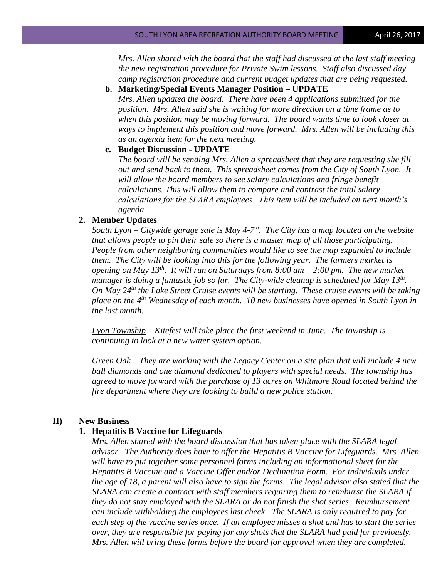*Mrs. Allen shared with the board that the staff had discussed at the last staff meeting the new registration procedure for Private Swim lessons. Staff also discussed day camp registration procedure and current budget updates that are being requested.*

**b. Marketing/Special Events Manager Position – UPDATE**

*Mrs. Allen updated the board. There have been 4 applications submitted for the position. Mrs. Allen said she is waiting for more direction on a time frame as to when this position may be moving forward. The board wants time to look closer at ways to implement this position and move forward. Mrs. Allen will be including this as an agenda item for the next meeting.*

### **c. Budget Discussion - UPDATE**

*The board will be sending Mrs. Allen a spreadsheet that they are requesting she fill out and send back to them. This spreadsheet comes from the City of South Lyon. It will allow the board members to see salary calculations and fringe benefit calculations. This will allow them to compare and contrast the total salary calculations for the SLARA employees. This item will be included on next month's agenda.*

#### **2. Member Updates**

*South Lyon – Citywide garage sale is May 4-7 th . The City has a map located on the website that allows people to pin their sale so there is a master map of all those participating. People from other neighboring communities would like to see the map expanded to include them. The City will be looking into this for the following year. The farmers market is opening on May 13th. It will run on Saturdays from 8:00 am – 2:00 pm. The new market manager is doing a fantastic job so far. The City-wide cleanup is scheduled for May 13th . On May 24th the Lake Street Cruise events will be starting. These cruise events will be taking place on the 4th Wednesday of each month. 10 new businesses have opened in South Lyon in the last month.*

*Lyon Township – Kitefest will take place the first weekend in June. The township is continuing to look at a new water system option.*

*Green Oak – They are working with the Legacy Center on a site plan that will include 4 new ball diamonds and one diamond dedicated to players with special needs. The township has agreed to move forward with the purchase of 13 acres on Whitmore Road located behind the fire department where they are looking to build a new police station.*

### **II) New Business**

#### **1. Hepatitis B Vaccine for Lifeguards**

*Mrs. Allen shared with the board discussion that has taken place with the SLARA legal advisor. The Authority does have to offer the Hepatitis B Vaccine for Lifeguards. Mrs. Allen will have to put together some personnel forms including an informational sheet for the Hepatitis B Vaccine and a Vaccine Offer and/or Declination Form. For individuals under the age of 18, a parent will also have to sign the forms. The legal advisor also stated that the SLARA can create a contract with staff members requiring them to reimburse the SLARA if they do not stay employed with the SLARA or do not finish the shot series. Reimbursement can include withholding the employees last check. The SLARA is only required to pay for each step of the vaccine series once. If an employee misses a shot and has to start the series over, they are responsible for paying for any shots that the SLARA had paid for previously. Mrs. Allen will bring these forms before the board for approval when they are completed.*